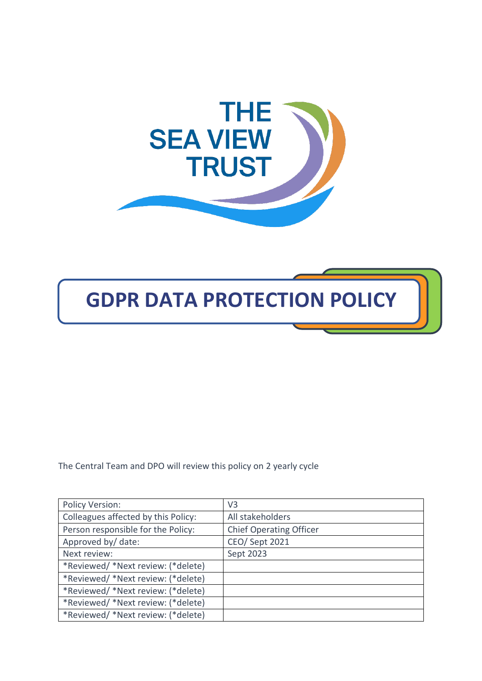



The Central Team and DPO will review this policy on 2 yearly cycle

| Policy Version:                     | V <sub>3</sub>                 |
|-------------------------------------|--------------------------------|
| Colleagues affected by this Policy: | All stakeholders               |
| Person responsible for the Policy:  | <b>Chief Operating Officer</b> |
| Approved by/ date:                  | CEO/ Sept 2021                 |
| Next review:                        | Sept 2023                      |
| *Reviewed/ *Next review: (*delete)  |                                |
| *Reviewed/ *Next review: (*delete)  |                                |
| *Reviewed/ *Next review: (*delete)  |                                |
| *Reviewed/ *Next review: (*delete)  |                                |
| *Reviewed/ *Next review: (*delete)  |                                |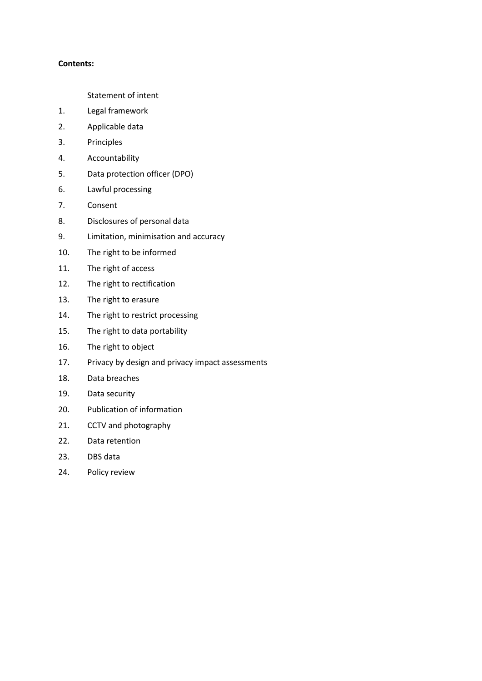## **Contents:**

- Statement of intent
- 1. Legal framework
- 2. Applicable data
- 3. Principles
- 4. Accountability
- 5. Data protection officer (DPO)
- 6. Lawful processing
- 7. Consent
- 8. Disclosures of personal data
- 9. Limitation, minimisation and accuracy
- 10. The right to be informed
- 11. The right of access
- 12. The right to rectification
- 13. The right to erasure
- 14. The right to restrict processing
- 15. The right to data portability
- 16. The right to object
- 17. Privacy by design and privacy impact assessments
- 18. Data breaches
- 19. Data security
- 20. Publication of information
- 21. CCTV and photography
- 22. Data retention
- 23. DBS data
- 24. Policy review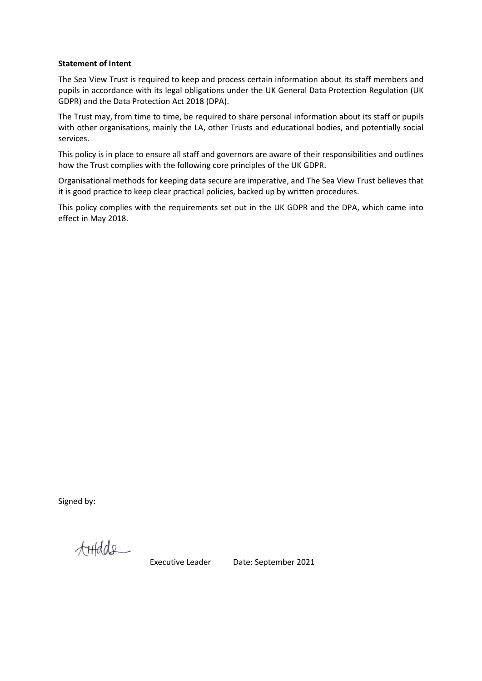#### **Statement of Intent**

The Sea View Trust is required to keep and process certain information about its staff members and pupils in accordance with its legal obligations under the UK General Data Protection Regulation (UK GDPR) and the Data Protection Act 2018 (DPA).

The Trust may, from time to time, be required to share personal information about its staff or pupils with other organisations, mainly the LA, other Trusts and educational bodies, and potentially social services.

This policy is in place to ensure all staff and governors are aware of their responsibilities and outlines how the Trust complies with the following core principles of the UK GDPR.

Organisational methods for keeping data secure are imperative, and The Sea View Trust believes that it is good practice to keep clear practical policies, backed up by written procedures.

This policy complies with the requirements set out in the UK GDPR and the DPA, which came into effect in May 2018.

Signed by:

tHedde

Executive Leader Date: September 2021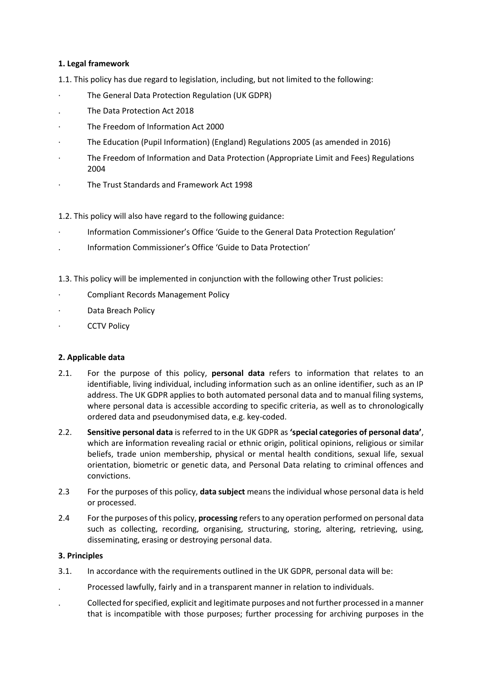# **1. Legal framework**

1.1. This policy has due regard to legislation, including, but not limited to the following:

- The General Data Protection Regulation (UK GDPR)
- . The Data Protection Act 2018
- The Freedom of Information Act 2000
- · The Education (Pupil Information) (England) Regulations 2005 (as amended in 2016)
- The Freedom of Information and Data Protection (Appropriate Limit and Fees) Regulations 2004
- · The Trust Standards and Framework Act 1998

1.2. This policy will also have regard to the following guidance:

- · Information Commissioner's Office 'Guide to the General Data Protection Regulation'
- . Information Commissioner's Office 'Guide to Data Protection'

1.3. This policy will be implemented in conjunction with the following other Trust policies:

- · Compliant Records Management Policy
- Data Breach Policy
- **CCTV Policy**

# **2. Applicable data**

- 2.1. For the purpose of this policy, **personal data** refers to information that relates to an identifiable, living individual, including information such as an online identifier, such as an IP address. The UK GDPR applies to both automated personal data and to manual filing systems, where personal data is accessible according to specific criteria, as well as to chronologically ordered data and pseudonymised data, e.g. key-coded.
- 2.2. **Sensitive personal data** is referred to in the UK GDPR as **'special categories of personal data'**, which are **i**nformation revealing racial or ethnic origin, political opinions, religious or similar beliefs, trade union membership, physical or mental health conditions, sexual life, sexual orientation, biometric or genetic data, and Personal Data relating to criminal offences and convictions.
- 2.3 For the purposes of this policy, **data subject** means the individual whose personal data is held or processed.
- 2.4 For the purposes of this policy, **processing** refers to any operation performed on personal data such as collecting, recording, organising, structuring, storing, altering, retrieving, using, disseminating, erasing or destroying personal data.

# **3. Principles**

- 3.1. In accordance with the requirements outlined in the UK GDPR, personal data will be:
- . Processed lawfully, fairly and in a transparent manner in relation to individuals.
- . Collected for specified, explicit and legitimate purposes and not further processed in a manner that is incompatible with those purposes; further processing for archiving purposes in the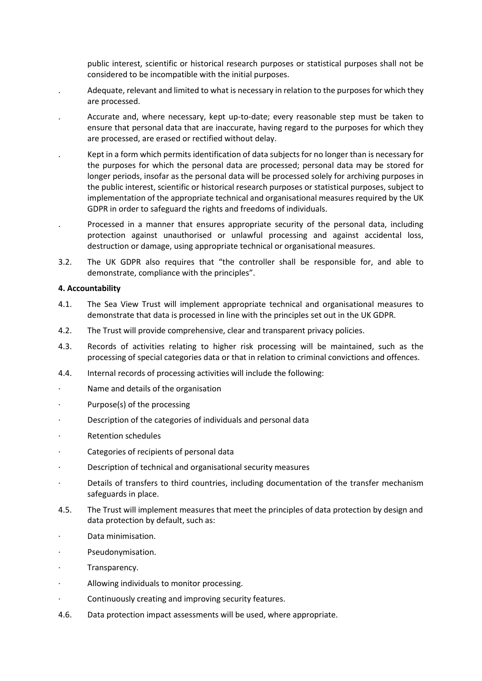public interest, scientific or historical research purposes or statistical purposes shall not be considered to be incompatible with the initial purposes.

- . Adequate, relevant and limited to what is necessary in relation to the purposes for which they are processed.
- . Accurate and, where necessary, kept up-to-date; every reasonable step must be taken to ensure that personal data that are inaccurate, having regard to the purposes for which they are processed, are erased or rectified without delay.
- . Kept in a form which permits identification of data subjects for no longer than is necessary for the purposes for which the personal data are processed; personal data may be stored for longer periods, insofar as the personal data will be processed solely for archiving purposes in the public interest, scientific or historical research purposes or statistical purposes, subject to implementation of the appropriate technical and organisational measures required by the UK GDPR in order to safeguard the rights and freedoms of individuals.
- . Processed in a manner that ensures appropriate security of the personal data, including protection against unauthorised or unlawful processing and against accidental loss, destruction or damage, using appropriate technical or organisational measures.
- 3.2. The UK GDPR also requires that "the controller shall be responsible for, and able to demonstrate, compliance with the principles".

### **4. Accountability**

- 4.1. The Sea View Trust will implement appropriate technical and organisational measures to demonstrate that data is processed in line with the principles set out in the UK GDPR.
- 4.2. The Trust will provide comprehensive, clear and transparent privacy policies.
- 4.3. Records of activities relating to higher risk processing will be maintained, such as the processing of special categories data or that in relation to criminal convictions and offences.
- 4.4. Internal records of processing activities will include the following:
- Name and details of the organisation
- Purpose(s) of the processing
- Description of the categories of individuals and personal data
- · Retention schedules
- Categories of recipients of personal data
- · Description of technical and organisational security measures
- · Details of transfers to third countries, including documentation of the transfer mechanism safeguards in place.
- 4.5. The Trust will implement measures that meet the principles of data protection by design and data protection by default, such as:
- · Data minimisation.
- Pseudonymisation.
- · Transparency.
- Allowing individuals to monitor processing.
- · Continuously creating and improving security features.
- 4.6. Data protection impact assessments will be used, where appropriate.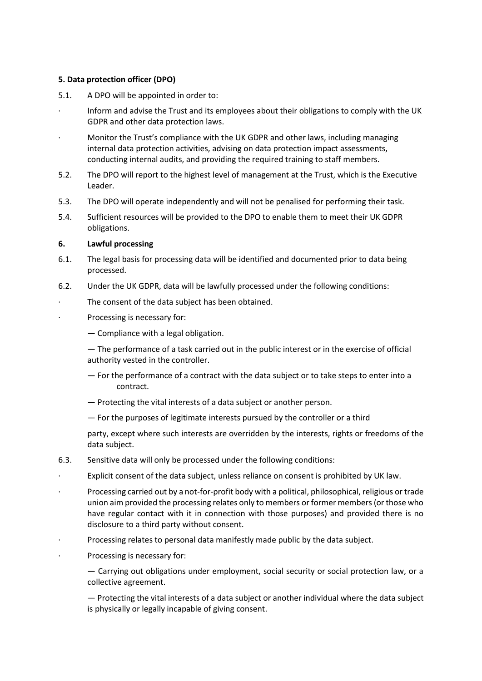## **5. Data protection officer (DPO)**

- 5.1. A DPO will be appointed in order to:
- · Inform and advise the Trust and its employees about their obligations to comply with the UK GDPR and other data protection laws.
- · Monitor the Trust's compliance with the UK GDPR and other laws, including managing internal data protection activities, advising on data protection impact assessments, conducting internal audits, and providing the required training to staff members.
- 5.2. The DPO will report to the highest level of management at the Trust, which is the Executive Leader.
- 5.3. The DPO will operate independently and will not be penalised for performing their task.
- 5.4. Sufficient resources will be provided to the DPO to enable them to meet their UK GDPR obligations.

## **6. Lawful processing**

- 6.1. The legal basis for processing data will be identified and documented prior to data being processed.
- 6.2. Under the UK GDPR, data will be lawfully processed under the following conditions:
	- The consent of the data subject has been obtained.
- Processing is necessary for:
	- Compliance with a legal obligation.
	- The performance of a task carried out in the public interest or in the exercise of official authority vested in the controller.
	- For the performance of a contract with the data subject or to take steps to enter into a contract.
	- Protecting the vital interests of a data subject or another person.
	- For the purposes of legitimate interests pursued by the controller or a third
	- party, except where such interests are overridden by the interests, rights or freedoms of the data subject.
- 6.3. Sensitive data will only be processed under the following conditions:
- · Explicit consent of the data subject, unless reliance on consent is prohibited by UK law.
- · Processing carried out by a not-for-profit body with a political, philosophical, religious or trade union aim provided the processing relates only to members or former members (or those who have regular contact with it in connection with those purposes) and provided there is no disclosure to a third party without consent.
- · Processing relates to personal data manifestly made public by the data subject.
- Processing is necessary for:

— Carrying out obligations under employment, social security or social protection law, or a collective agreement.

— Protecting the vital interests of a data subject or another individual where the data subject is physically or legally incapable of giving consent.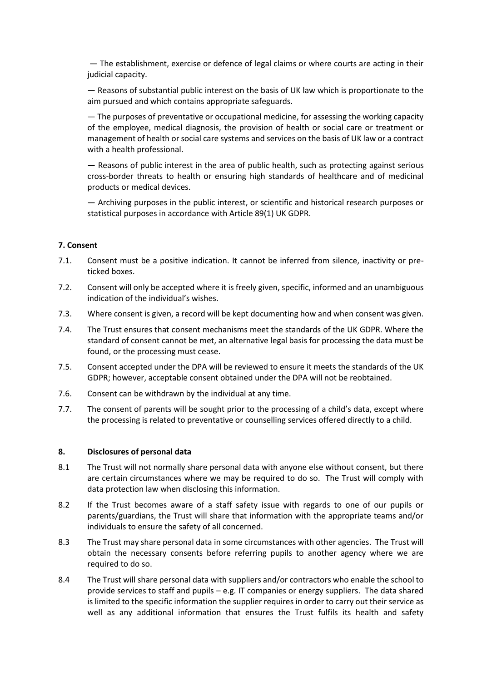— The establishment, exercise or defence of legal claims or where courts are acting in their judicial capacity.

— Reasons of substantial public interest on the basis of UK law which is proportionate to the aim pursued and which contains appropriate safeguards.

— The purposes of preventative or occupational medicine, for assessing the working capacity of the employee, medical diagnosis, the provision of health or social care or treatment or management of health or social care systems and services on the basis of UK law or a contract with a health professional.

— Reasons of public interest in the area of public health, such as protecting against serious cross-border threats to health or ensuring high standards of healthcare and of medicinal products or medical devices.

— Archiving purposes in the public interest, or scientific and historical research purposes or statistical purposes in accordance with Article 89(1) UK GDPR.

### **7. Consent**

- 7.1. Consent must be a positive indication. It cannot be inferred from silence, inactivity or preticked boxes.
- 7.2. Consent will only be accepted where it is freely given, specific, informed and an unambiguous indication of the individual's wishes.
- 7.3. Where consent is given, a record will be kept documenting how and when consent was given.
- 7.4. The Trust ensures that consent mechanisms meet the standards of the UK GDPR. Where the standard of consent cannot be met, an alternative legal basis for processing the data must be found, or the processing must cease.
- 7.5. Consent accepted under the DPA will be reviewed to ensure it meets the standards of the UK GDPR; however, acceptable consent obtained under the DPA will not be reobtained.
- 7.6. Consent can be withdrawn by the individual at any time.
- 7.7. The consent of parents will be sought prior to the processing of a child's data, except where the processing is related to preventative or counselling services offered directly to a child.

#### **8. Disclosures of personal data**

- 8.1 The Trust will not normally share personal data with anyone else without consent, but there are certain circumstances where we may be required to do so. The Trust will comply with data protection law when disclosing this information.
- 8.2 If the Trust becomes aware of a staff safety issue with regards to one of our pupils or parents/guardians, the Trust will share that information with the appropriate teams and/or individuals to ensure the safety of all concerned.
- 8.3 The Trust may share personal data in some circumstances with other agencies. The Trust will obtain the necessary consents before referring pupils to another agency where we are required to do so.
- 8.4 The Trust will share personal data with suppliers and/or contractors who enable the school to provide services to staff and pupils – e.g. IT companies or energy suppliers. The data shared is limited to the specific information the supplier requires in order to carry out their service as well as any additional information that ensures the Trust fulfils its health and safety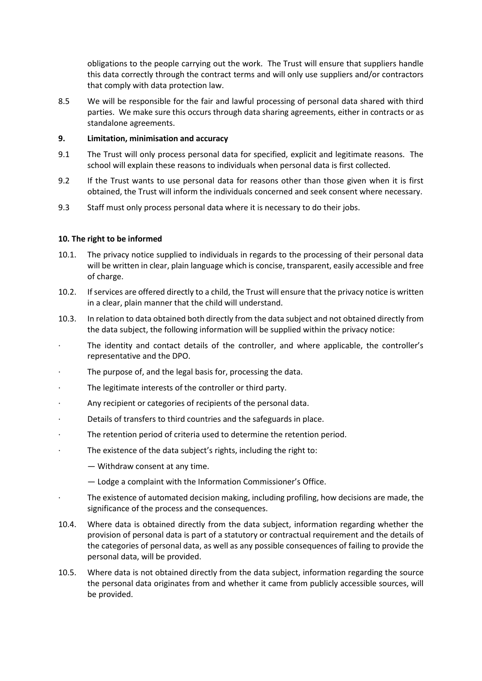obligations to the people carrying out the work. The Trust will ensure that suppliers handle this data correctly through the contract terms and will only use suppliers and/or contractors that comply with data protection law.

8.5 We will be responsible for the fair and lawful processing of personal data shared with third parties. We make sure this occurs through data sharing agreements, either in contracts or as standalone agreements.

## **9. Limitation, minimisation and accuracy**

- 9.1 The Trust will only process personal data for specified, explicit and legitimate reasons. The school will explain these reasons to individuals when personal data is first collected.
- 9.2 If the Trust wants to use personal data for reasons other than those given when it is first obtained, the Trust will inform the individuals concerned and seek consent where necessary.
- 9.3 Staff must only process personal data where it is necessary to do their jobs.

## **10. The right to be informed**

- 10.1. The privacy notice supplied to individuals in regards to the processing of their personal data will be written in clear, plain language which is concise, transparent, easily accessible and free of charge.
- 10.2. If services are offered directly to a child, the Trust will ensure that the privacy notice is written in a clear, plain manner that the child will understand.
- 10.3. In relation to data obtained both directly from the data subject and not obtained directly from the data subject, the following information will be supplied within the privacy notice:
- The identity and contact details of the controller, and where applicable, the controller's representative and the DPO.
- The purpose of, and the legal basis for, processing the data.
- The legitimate interests of the controller or third party.
- · Any recipient or categories of recipients of the personal data.
- · Details of transfers to third countries and the safeguards in place.
- · The retention period of criteria used to determine the retention period.
- · The existence of the data subject's rights, including the right to:
	- Withdraw consent at any time.
	- Lodge a complaint with the Information Commissioner's Office.
- The existence of automated decision making, including profiling, how decisions are made, the significance of the process and the consequences.
- 10.4. Where data is obtained directly from the data subject, information regarding whether the provision of personal data is part of a statutory or contractual requirement and the details of the categories of personal data, as well as any possible consequences of failing to provide the personal data, will be provided.
- 10.5. Where data is not obtained directly from the data subject, information regarding the source the personal data originates from and whether it came from publicly accessible sources, will be provided.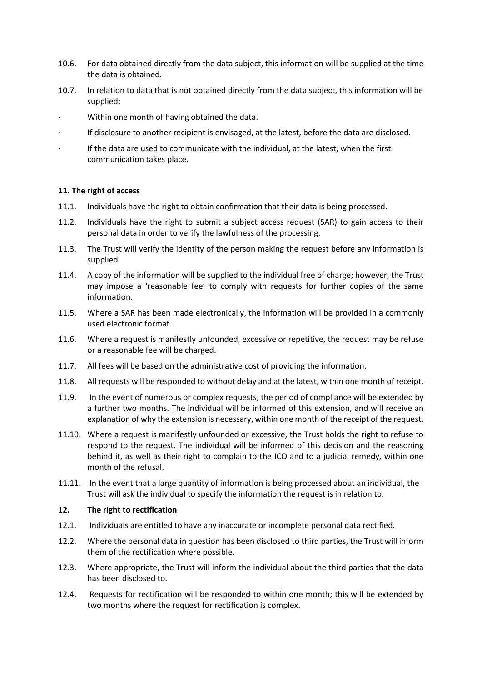- 10.6. For data obtained directly from the data subject, this information will be supplied at the time the data is obtained.
- 10.7. In relation to data that is not obtained directly from the data subject, this information will be supplied:
- Within one month of having obtained the data.
- · If disclosure to another recipient is envisaged, at the latest, before the data are disclosed.
- · If the data are used to communicate with the individual, at the latest, when the first communication takes place.

### **11. The right of access**

- 11.1. Individuals have the right to obtain confirmation that their data is being processed.
- 11.2. Individuals have the right to submit a subject access request (SAR) to gain access to their personal data in order to verify the lawfulness of the processing.
- 11.3. The Trust will verify the identity of the person making the request before any information is supplied.
- 11.4. A copy of the information will be supplied to the individual free of charge; however, the Trust may impose a 'reasonable fee' to comply with requests for further copies of the same information.
- 11.5. Where a SAR has been made electronically, the information will be provided in a commonly used electronic format.
- 11.6. Where a request is manifestly unfounded, excessive or repetitive, the request may be refuse or a reasonable fee will be charged.
- 11.7. All fees will be based on the administrative cost of providing the information.
- 11.8. All requests will be responded to without delay and at the latest, within one month of receipt.
- 11.9. In the event of numerous or complex requests, the period of compliance will be extended by a further two months. The individual will be informed of this extension, and will receive an explanation of why the extension is necessary, within one month of the receipt of the request.
- 11.10. Where a request is manifestly unfounded or excessive, the Trust holds the right to refuse to respond to the request. The individual will be informed of this decision and the reasoning behind it, as well as their right to complain to the ICO and to a judicial remedy, within one month of the refusal.
- 11.11. In the event that a large quantity of information is being processed about an individual, the Trust will ask the individual to specify the information the request is in relation to.

## **12. The right to rectification**

- 12.1. Individuals are entitled to have any inaccurate or incomplete personal data rectified.
- 12.2. Where the personal data in question has been disclosed to third parties, the Trust will inform them of the rectification where possible.
- 12.3. Where appropriate, the Trust will inform the individual about the third parties that the data has been disclosed to.
- 12.4. Requests for rectification will be responded to within one month; this will be extended by two months where the request for rectification is complex.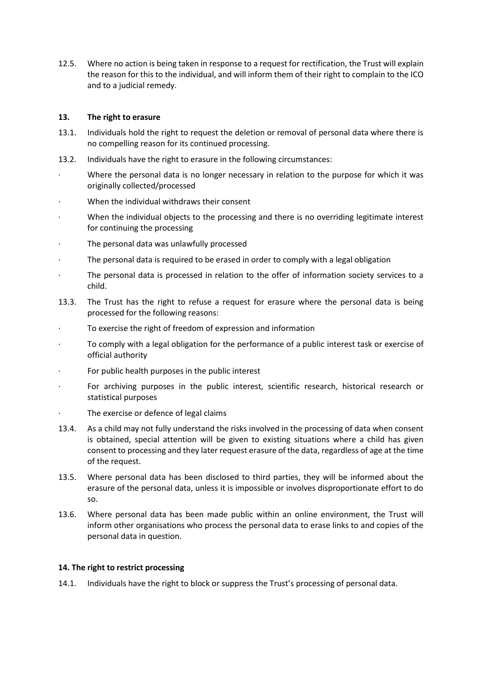12.5. Where no action is being taken in response to a request for rectification, the Trust will explain the reason for this to the individual, and will inform them of their right to complain to the ICO and to a judicial remedy.

## **13. The right to erasure**

- 13.1. Individuals hold the right to request the deletion or removal of personal data where there is no compelling reason for its continued processing.
- 13.2. Individuals have the right to erasure in the following circumstances:
- Where the personal data is no longer necessary in relation to the purpose for which it was originally collected/processed
- When the individual withdraws their consent
- When the individual objects to the processing and there is no overriding legitimate interest for continuing the processing
- The personal data was unlawfully processed
- The personal data is required to be erased in order to comply with a legal obligation
- The personal data is processed in relation to the offer of information society services to a child.
- 13.3. The Trust has the right to refuse a request for erasure where the personal data is being processed for the following reasons:
- To exercise the right of freedom of expression and information
- To comply with a legal obligation for the performance of a public interest task or exercise of official authority
- For public health purposes in the public interest
- For archiving purposes in the public interest, scientific research, historical research or statistical purposes
- The exercise or defence of legal claims
- 13.4. As a child may not fully understand the risks involved in the processing of data when consent is obtained, special attention will be given to existing situations where a child has given consent to processing and they later request erasure of the data, regardless of age at the time of the request.
- 13.5. Where personal data has been disclosed to third parties, they will be informed about the erasure of the personal data, unless it is impossible or involves disproportionate effort to do so.
- 13.6. Where personal data has been made public within an online environment, the Trust will inform other organisations who process the personal data to erase links to and copies of the personal data in question.

# **14. The right to restrict processing**

14.1. Individuals have the right to block or suppress the Trust's processing of personal data.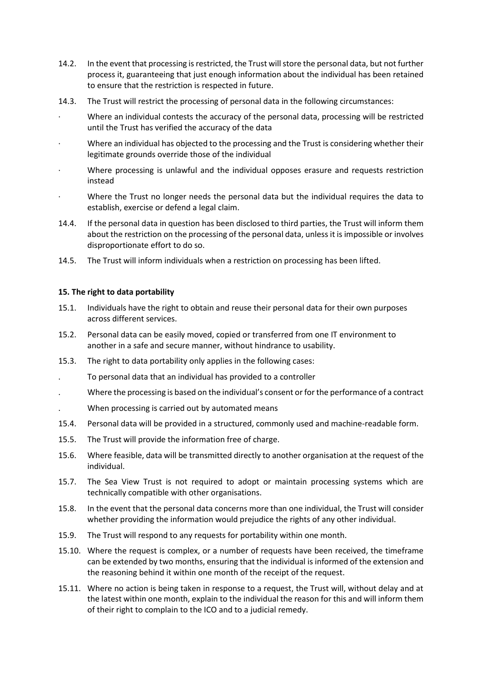- 14.2. In the event that processing is restricted, the Trust will store the personal data, but not further process it, guaranteeing that just enough information about the individual has been retained to ensure that the restriction is respected in future.
- 14.3. The Trust will restrict the processing of personal data in the following circumstances:
- · Where an individual contests the accuracy of the personal data, processing will be restricted until the Trust has verified the accuracy of the data
- Where an individual has objected to the processing and the Trust is considering whether their legitimate grounds override those of the individual
- · Where processing is unlawful and the individual opposes erasure and requests restriction instead
- Where the Trust no longer needs the personal data but the individual requires the data to establish, exercise or defend a legal claim.
- 14.4. If the personal data in question has been disclosed to third parties, the Trust will inform them about the restriction on the processing of the personal data, unless it is impossible or involves disproportionate effort to do so.
- 14.5. The Trust will inform individuals when a restriction on processing has been lifted.

## **15. The right to data portability**

- 15.1. Individuals have the right to obtain and reuse their personal data for their own purposes across different services.
- 15.2. Personal data can be easily moved, copied or transferred from one IT environment to another in a safe and secure manner, without hindrance to usability.
- 15.3. The right to data portability only applies in the following cases:
- . To personal data that an individual has provided to a controller
- . Where the processing is based on the individual's consent or for the performance of a contract
- . When processing is carried out by automated means
- 15.4. Personal data will be provided in a structured, commonly used and machine-readable form.
- 15.5. The Trust will provide the information free of charge.
- 15.6. Where feasible, data will be transmitted directly to another organisation at the request of the individual.
- 15.7. The Sea View Trust is not required to adopt or maintain processing systems which are technically compatible with other organisations.
- 15.8. In the event that the personal data concerns more than one individual, the Trust will consider whether providing the information would prejudice the rights of any other individual.
- 15.9. The Trust will respond to any requests for portability within one month.
- 15.10. Where the request is complex, or a number of requests have been received, the timeframe can be extended by two months, ensuring that the individual is informed of the extension and the reasoning behind it within one month of the receipt of the request.
- 15.11. Where no action is being taken in response to a request, the Trust will, without delay and at the latest within one month, explain to the individual the reason for this and will inform them of their right to complain to the ICO and to a judicial remedy.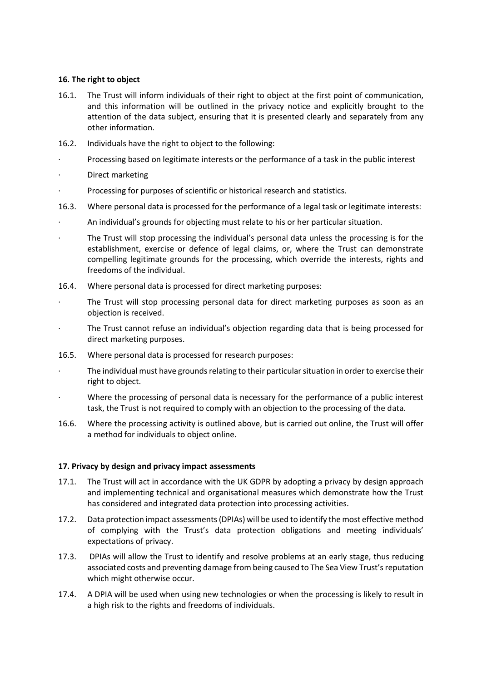## **16. The right to object**

- 16.1. The Trust will inform individuals of their right to object at the first point of communication, and this information will be outlined in the privacy notice and explicitly brought to the attention of the data subject, ensuring that it is presented clearly and separately from any other information.
- 16.2. Individuals have the right to object to the following:
- · Processing based on legitimate interests or the performance of a task in the public interest
- Direct marketing
- · Processing for purposes of scientific or historical research and statistics.
- 16.3. Where personal data is processed for the performance of a legal task or legitimate interests:
- An individual's grounds for objecting must relate to his or her particular situation.
- · The Trust will stop processing the individual's personal data unless the processing is for the establishment, exercise or defence of legal claims, or, where the Trust can demonstrate compelling legitimate grounds for the processing, which override the interests, rights and freedoms of the individual.
- 16.4. Where personal data is processed for direct marketing purposes:
- The Trust will stop processing personal data for direct marketing purposes as soon as an objection is received.
- The Trust cannot refuse an individual's objection regarding data that is being processed for direct marketing purposes.
- 16.5. Where personal data is processed for research purposes:
- The individual must have grounds relating to their particular situation in order to exercise their right to object.
- Where the processing of personal data is necessary for the performance of a public interest task, the Trust is not required to comply with an objection to the processing of the data.
- 16.6. Where the processing activity is outlined above, but is carried out online, the Trust will offer a method for individuals to object online.

### **17. Privacy by design and privacy impact assessments**

- 17.1. The Trust will act in accordance with the UK GDPR by adopting a privacy by design approach and implementing technical and organisational measures which demonstrate how the Trust has considered and integrated data protection into processing activities.
- 17.2. Data protection impact assessments (DPIAs) will be used to identify the most effective method of complying with the Trust's data protection obligations and meeting individuals' expectations of privacy.
- 17.3. DPIAs will allow the Trust to identify and resolve problems at an early stage, thus reducing associated costs and preventing damage from being caused to The Sea View Trust's reputation which might otherwise occur.
- 17.4. A DPIA will be used when using new technologies or when the processing is likely to result in a high risk to the rights and freedoms of individuals.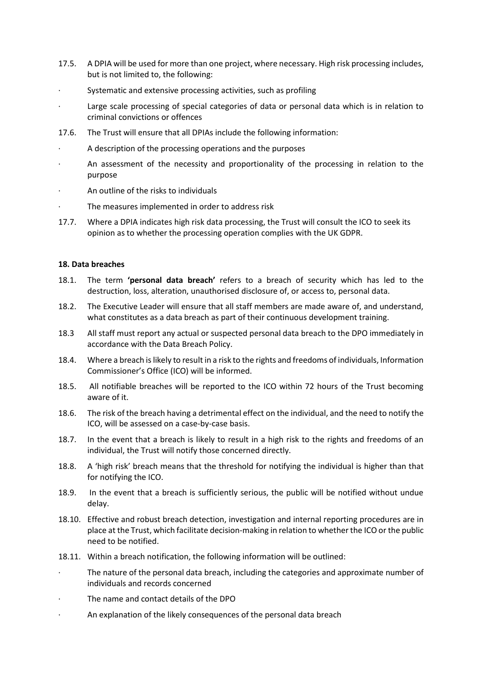- 17.5. A DPIA will be used for more than one project, where necessary. High risk processing includes, but is not limited to, the following:
- Systematic and extensive processing activities, such as profiling
- Large scale processing of special categories of data or personal data which is in relation to criminal convictions or offences
- 17.6. The Trust will ensure that all DPIAs include the following information:
- A description of the processing operations and the purposes
- An assessment of the necessity and proportionality of the processing in relation to the purpose
- · An outline of the risks to individuals
- The measures implemented in order to address risk
- 17.7. Where a DPIA indicates high risk data processing, the Trust will consult the ICO to seek its opinion as to whether the processing operation complies with the UK GDPR.

## **18. Data breaches**

- 18.1. The term **'personal data breach'** refers to a breach of security which has led to the destruction, loss, alteration, unauthorised disclosure of, or access to, personal data.
- 18.2. The Executive Leader will ensure that all staff members are made aware of, and understand, what constitutes as a data breach as part of their continuous development training.
- 18.3 All staff must report any actual or suspected personal data breach to the DPO immediately in accordance with the Data Breach Policy.
- 18.4. Where a breach is likely to result in a risk to the rights and freedoms of individuals, Information Commissioner's Office (ICO) will be informed.
- 18.5. All notifiable breaches will be reported to the ICO within 72 hours of the Trust becoming aware of it.
- 18.6. The risk of the breach having a detrimental effect on the individual, and the need to notify the ICO, will be assessed on a case-by-case basis.
- 18.7. In the event that a breach is likely to result in a high risk to the rights and freedoms of an individual, the Trust will notify those concerned directly.
- 18.8. A 'high risk' breach means that the threshold for notifying the individual is higher than that for notifying the ICO.
- 18.9. In the event that a breach is sufficiently serious, the public will be notified without undue delay.
- 18.10. Effective and robust breach detection, investigation and internal reporting procedures are in place at the Trust, which facilitate decision-making in relation to whether the ICO or the public need to be notified.
- 18.11. Within a breach notification, the following information will be outlined:
- The nature of the personal data breach, including the categories and approximate number of individuals and records concerned
- The name and contact details of the DPO
- An explanation of the likely consequences of the personal data breach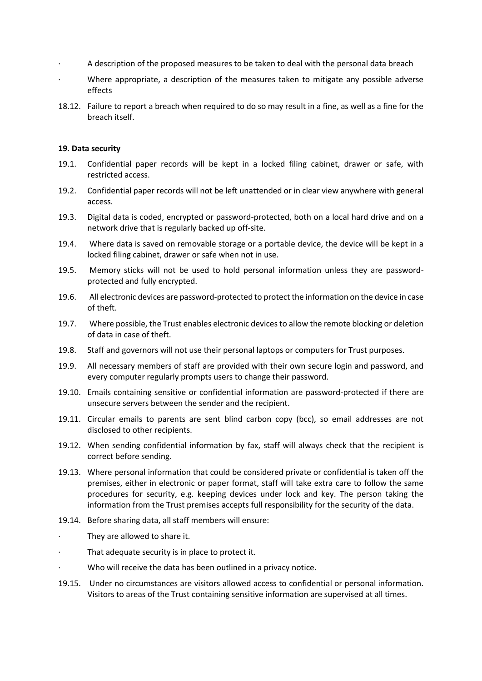- · A description of the proposed measures to be taken to deal with the personal data breach
- Where appropriate, a description of the measures taken to mitigate any possible adverse effects
- 18.12. Failure to report a breach when required to do so may result in a fine, as well as a fine for the breach itself.

### **19. Data security**

- 19.1. Confidential paper records will be kept in a locked filing cabinet, drawer or safe, with restricted access.
- 19.2. Confidential paper records will not be left unattended or in clear view anywhere with general access.
- 19.3. Digital data is coded, encrypted or password-protected, both on a local hard drive and on a network drive that is regularly backed up off-site.
- 19.4. Where data is saved on removable storage or a portable device, the device will be kept in a locked filing cabinet, drawer or safe when not in use.
- 19.5. Memory sticks will not be used to hold personal information unless they are passwordprotected and fully encrypted.
- 19.6. All electronic devices are password-protected to protect the information on the device in case of theft.
- 19.7. Where possible, the Trust enables electronic devices to allow the remote blocking or deletion of data in case of theft.
- 19.8. Staff and governors will not use their personal laptops or computers for Trust purposes.
- 19.9. All necessary members of staff are provided with their own secure login and password, and every computer regularly prompts users to change their password.
- 19.10. Emails containing sensitive or confidential information are password-protected if there are unsecure servers between the sender and the recipient.
- 19.11. Circular emails to parents are sent blind carbon copy (bcc), so email addresses are not disclosed to other recipients.
- 19.12. When sending confidential information by fax, staff will always check that the recipient is correct before sending.
- 19.13. Where personal information that could be considered private or confidential is taken off the premises, either in electronic or paper format, staff will take extra care to follow the same procedures for security, e.g. keeping devices under lock and key. The person taking the information from the Trust premises accepts full responsibility for the security of the data.
- 19.14. Before sharing data, all staff members will ensure:
	- They are allowed to share it.
- That adequate security is in place to protect it.
- Who will receive the data has been outlined in a privacy notice.
- 19.15. Under no circumstances are visitors allowed access to confidential or personal information. Visitors to areas of the Trust containing sensitive information are supervised at all times.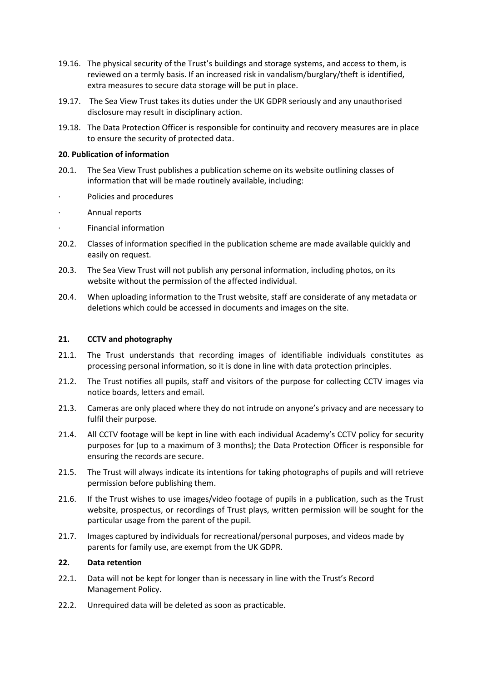- 19.16. The physical security of the Trust's buildings and storage systems, and access to them, is reviewed on a termly basis. If an increased risk in vandalism/burglary/theft is identified, extra measures to secure data storage will be put in place.
- 19.17. The Sea View Trust takes its duties under the UK GDPR seriously and any unauthorised disclosure may result in disciplinary action.
- 19.18. The Data Protection Officer is responsible for continuity and recovery measures are in place to ensure the security of protected data.

### **20. Publication of information**

- 20.1. The Sea View Trust publishes a publication scheme on its website outlining classes of information that will be made routinely available, including:
- · Policies and procedures
- · Annual reports
- Financial information
- 20.2. Classes of information specified in the publication scheme are made available quickly and easily on request.
- 20.3. The Sea View Trust will not publish any personal information, including photos, on its website without the permission of the affected individual.
- 20.4. When uploading information to the Trust website, staff are considerate of any metadata or deletions which could be accessed in documents and images on the site.

### **21. CCTV and photography**

- 21.1. The Trust understands that recording images of identifiable individuals constitutes as processing personal information, so it is done in line with data protection principles.
- 21.2. The Trust notifies all pupils, staff and visitors of the purpose for collecting CCTV images via notice boards, letters and email.
- 21.3. Cameras are only placed where they do not intrude on anyone's privacy and are necessary to fulfil their purpose.
- 21.4. All CCTV footage will be kept in line with each individual Academy's CCTV policy for security purposes for (up to a maximum of 3 months); the Data Protection Officer is responsible for ensuring the records are secure.
- 21.5. The Trust will always indicate its intentions for taking photographs of pupils and will retrieve permission before publishing them.
- 21.6. If the Trust wishes to use images/video footage of pupils in a publication, such as the Trust website, prospectus, or recordings of Trust plays, written permission will be sought for the particular usage from the parent of the pupil.
- 21.7. Images captured by individuals for recreational/personal purposes, and videos made by parents for family use, are exempt from the UK GDPR.

#### **22. Data retention**

- 22.1. Data will not be kept for longer than is necessary in line with the Trust's Record Management Policy.
- 22.2. Unrequired data will be deleted as soon as practicable.